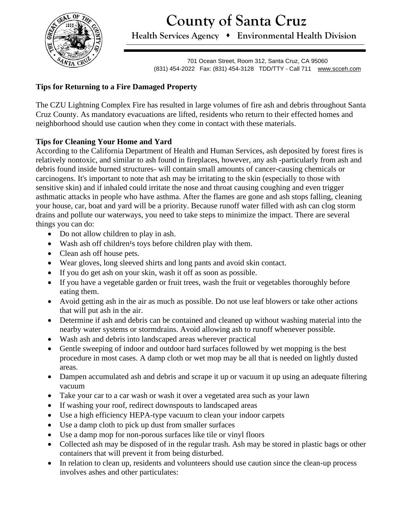**County of Santa Cruz**



**Health Services Agency** ⬧ **Environmental Health Division**

701 Ocean Street, Room 312, Santa Cruz, CA 95060 (831) 454-2022 Fax: (831) 454-3128 TDD/TTY - Call 711 [www.scceh.com](http://www.scceh.com/)

## **Tips for Returning to a Fire Damaged Property**

The CZU Lightning Complex Fire has resulted in large volumes of fire ash and debris throughout Santa Cruz County. As mandatory evacuations are lifted, residents who return to their effected homes and neighborhood should use caution when they come in contact with these materials.

## **Tips for Cleaning Your Home and Yard**

According to the California Department of Health and Human Services, ash deposited by forest fires is relatively nontoxic, and similar to ash found in fireplaces, however, any ash -particularly from ash and debris found inside burned structures- will contain small amounts of cancer-causing chemicals or carcinogens. It's important to note that ash may be irritating to the skin (especially to those with sensitive skin) and if inhaled could irritate the nose and throat causing coughing and even trigger asthmatic attacks in people who have asthma. After the flames are gone and ash stops falling, cleaning your house, car, boat and yard will be a priority. Because runoff water filled with ash can clog storm drains and pollute our waterways, you need to take steps to minimize the impact. There are several things you can do:

- Do not allow children to play in ash.
- Wash ash off children<sup>1</sup>s toys before children play with them.
- Clean ash off house pets.
- Wear gloves, long sleeved shirts and long pants and avoid skin contact.
- If you do get ash on your skin, wash it off as soon as possible.
- If you have a vegetable garden or fruit trees, wash the fruit or vegetables thoroughly before eating them.
- Avoid getting ash in the air as much as possible. Do not use leaf blowers or take other actions that will put ash in the air.
- Determine if ash and debris can be contained and cleaned up without washing material into the nearby water systems or stormdrains. Avoid allowing ash to runoff whenever possible.
- Wash ash and debris into landscaped areas wherever practical
- Gentle sweeping of indoor and outdoor hard surfaces followed by wet mopping is the best procedure in most cases. A damp cloth or wet mop may be all that is needed on lightly dusted areas.
- Dampen accumulated ash and debris and scrape it up or vacuum it up using an adequate filtering vacuum
- Take your car to a car wash or wash it over a vegetated area such as your lawn
- If washing your roof, redirect downspouts to landscaped areas
- Use a high efficiency HEPA-type vacuum to clean your indoor carpets
- Use a damp cloth to pick up dust from smaller surfaces
- Use a damp mop for non-porous surfaces like tile or vinyl floors
- Collected ash may be disposed of in the regular trash. Ash may be stored in plastic bags or other containers that will prevent it from being disturbed.
- In relation to clean up, residents and volunteers should use caution since the clean-up process involves ashes and other particulates: